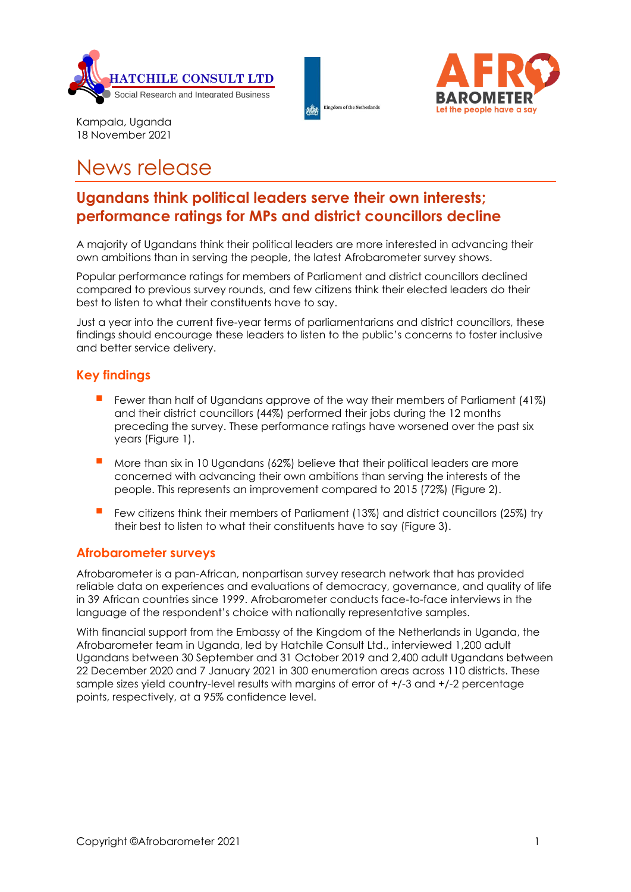





Kampala, Uganda 18 November 2021

# News release

# **Ugandans think political leaders serve their own interests; performance ratings for MPs and district councillors decline**

A majority of Ugandans think their political leaders are more interested in advancing their own ambitions than in serving the people, the latest Afrobarometer survey shows.

Popular performance ratings for members of Parliament and district councillors declined compared to previous survey rounds, and few citizens think their elected leaders do their best to listen to what their constituents have to say.

Just a year into the current five-year terms of parliamentarians and district councillors, these findings should encourage these leaders to listen to the public's concerns to foster inclusive and better service delivery.

### **Key findings**

- Fewer than half of Ugandans approve of the way their members of Parliament (41%) and their district councillors (44%) performed their jobs during the 12 months preceding the survey. These performance ratings have worsened over the past six years (Figure 1).
- More than six in 10 Ugandans (62%) believe that their political leaders are more concerned with advancing their own ambitions than serving the interests of the people. This represents an improvement compared to 2015 (72%) (Figure 2).
- Few citizens think their members of Parliament (13%) and district councillors (25%) try their best to listen to what their constituents have to say (Figure 3).

### **Afrobarometer surveys**

Afrobarometer is a pan-African, nonpartisan survey research network that has provided reliable data on experiences and evaluations of democracy, governance, and quality of life in 39 African countries since 1999. Afrobarometer conducts face-to-face interviews in the language of the respondent's choice with nationally representative samples.

With financial support from the Embassy of the Kingdom of the Netherlands in Uganda, the Afrobarometer team in Uganda, led by Hatchile Consult Ltd., interviewed 1,200 adult Ugandans between 30 September and 31 October 2019 and 2,400 adult Ugandans between 22 December 2020 and 7 January 2021 in 300 enumeration areas across 110 districts. These sample sizes yield country-level results with margins of error of +/-3 and +/-2 percentage points, respectively, at a 95% confidence level.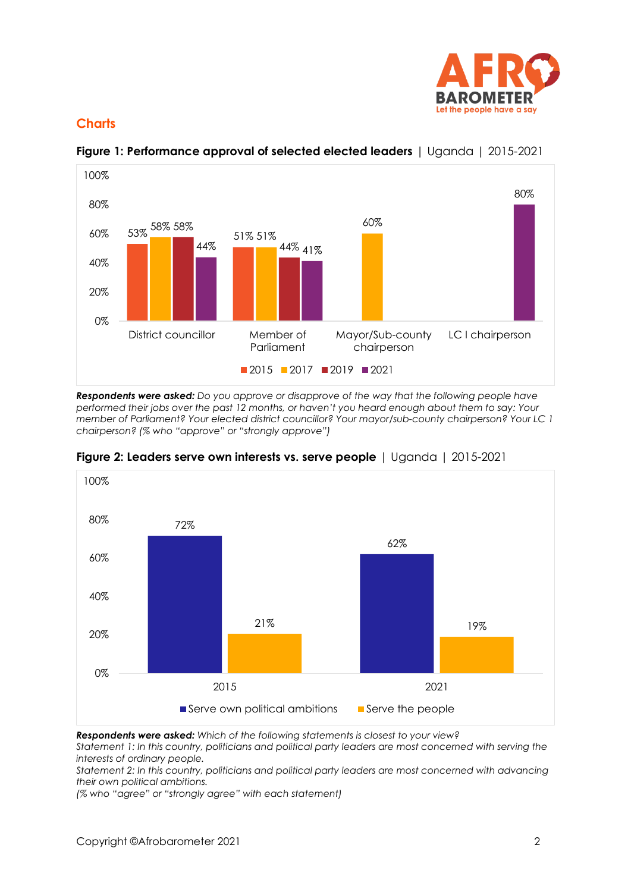

## **Charts**



**Figure 1: Performance approval of selected elected leaders** | Uganda | 2015-2021

*Respondents were asked: Do you approve or disapprove of the way that the following people have performed their jobs over the past 12 months, or haven't you heard enough about them to say: Your member of Parliament? Your elected district councillor? Your mayor/sub-county chairperson? Your LC 1 chairperson? (% who "approve" or "strongly approve")*



**Figure 2: Leaders serve own interests vs. serve people** | Uganda | 2015-2021

*Respondents were asked: Which of the following statements is closest to your view?*

*Statement 1: In this country, politicians and political party leaders are most concerned with serving the interests of ordinary people.*

*Statement 2: In this country, politicians and political party leaders are most concerned with advancing their own political ambitions.*

*(% who "agree" or "strongly agree" with each statement)*